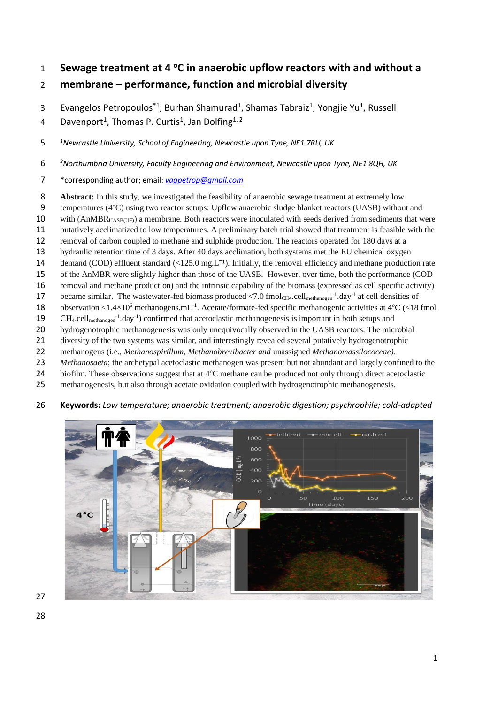# **Sewage treatment at 4 <sup>o</sup> C in anaerobic upflow reactors with and without a membrane – performance, function and microbial diversity**

3 Evangelos Petropoulos<sup>\*1</sup>, Burhan Shamurad<sup>1</sup>, Shamas Tabraiz<sup>1</sup>, Yongjie Yu<sup>1</sup>, Russell

4 Davenport<sup>1</sup>, Thomas P. Curtis<sup>1</sup>, Jan Dolfing<sup>1, 2</sup>

*<sup>1</sup> Newcastle University, School of Engineering, Newcastle upon Tyne, NE1 7RU, UK*

*<sup>2</sup> Northumbria University, Faculty Engineering and Environment, Newcastle upon Tyne, NE1 8QH, UK*

\*corresponding author; email: *[vagpetrop@gmail.com](mailto:vagpetrop@gmail.com)*

**Abstract:** In this study, we investigated the feasibility of anaerobic sewage treatment at extremely low

- 9 temperatures (4<sup>o</sup>C) using two reactor setups: Upflow anaerobic sludge blanket reactors (UASB) without and
- 10 with (AnMBR<sub>UASB(UF)</sub>) a membrane. Both reactors were inoculated with seeds derived from sediments that were
- putatively acclimatized to low temperatures. A preliminary batch trial showed that treatment is feasible with the
- removal of carbon coupled to methane and sulphide production. The reactors operated for 180 days at a
- hydraulic retention time of 3 days. After 40 days acclimation, both systems met the EU chemical oxygen
- 14 demand (COD) effluent standard  $\left( \langle 125.0 \text{ mg} L^{-1} \rangle \right)$ . Initially, the removal efficiency and methane production rate
- of the AnMBR were slightly higher than those of the UASB. However, over time, both the performance (COD
- removal and methane production) and the intrinsic capability of the biomass (expressed as cell specific activity)
- 17 became similar. The wastewater-fed biomass produced  $\langle 7.0 \text{ fmol}_{CH4}.cell_{methanogen}^{-1}$ .day<sup>-1</sup> at cell densities of
- 18 observation <1.4×10<sup>6</sup> methanogens.mL<sup>-1</sup>. Acetate/formate-fed specific methanogenic activities at 4°C (<18 fmol
- 19 CH<sub>4</sub>.cell<sub>methanogen</sub><sup>-1</sup>.day<sup>-1</sup>) confirmed that acetoclastic methanogenesis is important in both setups and
- hydrogenotrophic methanogenesis was only unequivocally observed in the UASB reactors. The microbial
- diversity of the two systems was similar, and interestingly revealed several putatively hydrogenotrophic
- methanogens (i.e., *Methanospirillum*, *Methanobrevibacter and* unassigned *Methanomassilococeae).*
- *Methanosaeta*; the archetypal acetoclastic methanogen was present but not abundant and largely confined to the
- 24 biofilm. These observations suggest that at 4°C methane can be produced not only through direct acetoclastic
- methanogenesis, but also through acetate oxidation coupled with hydrogenotrophic methanogenesis.
- **Keywords:** *Low temperature; anaerobic treatment; anaerobic digestion; psychrophile; cold-adapted*

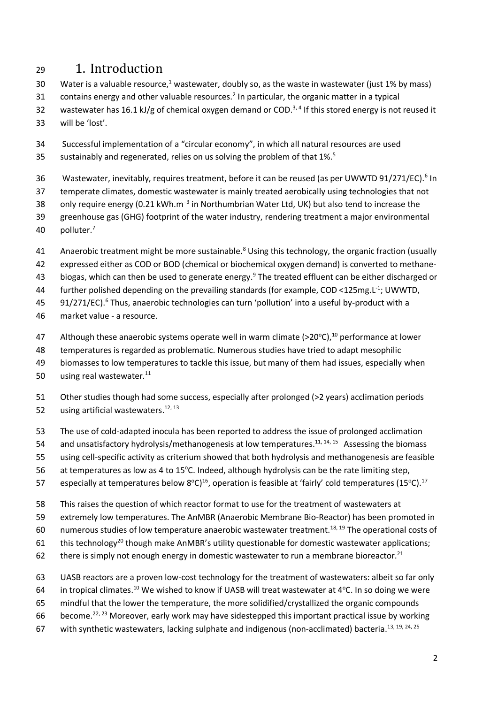# <sup>29</sup> 1. Introduction

- 30 Water is a valuable resource,<sup>1</sup> wastewater, doubly so, as the waste in wastewater (just 1% by mass)
- 31 contains energy and other valuable resources.<sup>2</sup> In particular, the organic matter in a typical
- 32 wastewater has 16.1 kJ/g of chemical oxygen demand or COD.<sup>3,4</sup> If this stored energy is not reused it
- 33 will be 'lost'.
- 34 Successful implementation of a "circular economy", in which all natural resources are used 35 sustainably and regenerated, relies on us solving the problem of that  $1\%$ <sup>5</sup>
- 36 Wastewater, inevitably, requires treatment, before it can be reused (as per UWWTD 91/271/EC).<sup>6</sup> In
- 37 temperate climates, domestic wastewater is mainly treated aerobically using technologies that not
- 38 only require energy (0.21 kWh.m<sup>-3</sup> in Northumbrian Water Ltd, UK) but also tend to increase the
- 39 greenhouse gas (GHG) footprint of the water industry, rendering treatment a major environmental 40 polluter.<sup>7</sup>
- Anaerobic treatment might be more sustainable.<sup>8</sup> Using this technology, the organic fraction (usually
- 42 expressed either as COD or BOD (chemical or biochemical oxygen demand) is converted to methane-
- 43 biogas, which can then be used to generate energy.<sup>9</sup> The treated effluent can be either discharged or
- 44 further polished depending on the prevailing standards (for example, COD <125mg.L<sup>-1</sup>; UWWTD,
- $91/271/EC$ ).<sup>6</sup> Thus, anaerobic technologies can turn 'pollution' into a useful by-product with a
- 46 market value a resource.
- 47 Although these anaerobic systems operate well in warm climate (>20 $^{\circ}$ C),<sup>10</sup> performance at lower
- 48 temperatures is regarded as problematic. Numerous studies have tried to adapt mesophilic
- 49 biomasses to low temperatures to tackle this issue, but many of them had issues, especially when
- 50 using real wastewater. $11$
- 51 Other studies though had some success, especially after prolonged (>2 years) acclimation periods 52 using artificial wastewaters.<sup>12, 13</sup>
- 53 The use of cold-adapted inocula has been reported to address the issue of prolonged acclimation
- 54 and unsatisfactory hydrolysis/methanogenesis at low temperatures.<sup>11, 14, 15</sup> Assessing the biomass
- 55 using cell-specific activity as criterium showed that both hydrolysis and methanogenesis are feasible
- 56 at temperatures as low as 4 to 15°C. Indeed, although hydrolysis can be the rate limiting step,
- 57 especially at temperatures below 8°C)<sup>16</sup>, operation is feasible at 'fairly' cold temperatures (15°C).<sup>17</sup>
- 58 This raises the question of which reactor format to use for the treatment of wastewaters at
- 59 extremely low temperatures. The AnMBR (Anaerobic Membrane Bio-Reactor) has been promoted in
- 60 numerous studies of low temperature anaerobic wastewater treatment.<sup>18, 19</sup> The operational costs of
- 61 this technology<sup>20</sup> though make AnMBR's utility questionable for domestic wastewater applications;
- 62 there is simply not enough energy in domestic wastewater to run a membrane bioreactor.<sup>21</sup>
- 63 UASB reactors are a proven low-cost technology for the treatment of wastewaters: albeit so far only
- 64 in tropical climates.<sup>10</sup> We wished to know if UASB will treat wastewater at 4°C. In so doing we were
- 65 mindful that the lower the temperature, the more solidified/crystallized the organic compounds
- 66 become.<sup>22, 23</sup> Moreover, early work may have sidestepped this important practical issue by working
- 67 with synthetic wastewaters, lacking sulphate and indigenous (non-acclimated) bacteria.<sup>13, 19, 24, 25</sup>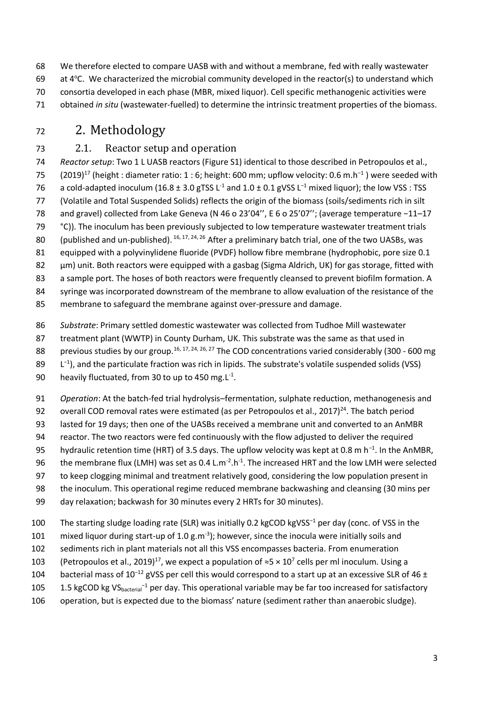We therefore elected to compare UASB with and without a membrane, fed with really wastewater 69 at  $4^{\circ}$ C. We characterized the microbial community developed in the reactor(s) to understand which consortia developed in each phase (MBR, mixed liquor). Cell specific methanogenic activities were obtained *in situ* (wastewater-fuelled) to determine the intrinsic treatment properties of the biomass.

# <sup>72</sup> 2. Methodology

# 73 2.1. Reactor setup and operation

74 *Reactor setup*: Two 1 L UASB reactors (Figure S1) identical to those described in Petropoulos et al., 75 (2019)<sup>17</sup> (height : diameter ratio: 1 : 6; height: 600 mm; upflow velocity: 0.6 m.h<sup>-1</sup>) were seeded with 76 a cold-adapted inoculum (16.8  $\pm$  3.0 gTSS L<sup>-1</sup> and 1.0  $\pm$  0.1 gVSS L<sup>-1</sup> mixed liquor); the low VSS : TSS 77 (Volatile and Total Suspended Solids) reflects the origin of the biomass (soils/sediments rich in silt 78 and gravel) collected from Lake Geneva (N 46 o 23'04'', E 6 o 25'07''; (average temperature −11–17 79 °C)). The inoculum has been previously subjected to low temperature wastewater treatment trials 80 (published and un-published).  $^{16, 17, 24, 26}$  After a preliminary batch trial, one of the two UASBs, was 81 equipped with a polyvinylidene fluoride (PVDF) hollow fibre membrane (hydrophobic, pore size 0.1 82 μm) unit. Both reactors were equipped with a gasbag (Sigma Aldrich, UK) for gas storage, fitted with 83 a sample port. The hoses of both reactors were frequently cleansed to prevent biofilm formation. A

84 syringe was incorporated downstream of the membrane to allow evaluation of the resistance of the

85 membrane to safeguard the membrane against over-pressure and damage.

86 *Substrate*: Primary settled domestic wastewater was collected from Tudhoe Mill wastewater

87 treatment plant (WWTP) in County Durham, UK. This substrate was the same as that used in

88 previous studies by our group.<sup>16, 17, 24, 26, 27</sup> The COD concentrations varied considerably (300 - 600 mg

89  $L^{-1}$ ), and the particulate fraction was rich in lipids. The substrate's volatile suspended solids (VSS)

90 heavily fluctuated, from 30 to up to 450 mg. $L^{-1}$ .

91 *Operation*: At the batch-fed trial hydrolysis–fermentation, sulphate reduction, methanogenesis and

92 overall COD removal rates were estimated (as per Petropoulos et al., 2017)<sup>24</sup>. The batch period

93 lasted for 19 days; then one of the UASBs received a membrane unit and converted to an AnMBR

94 reactor. The two reactors were fed continuously with the flow adjusted to deliver the required

95 hydraulic retention time (HRT) of 3.5 days. The upflow velocity was kept at 0.8 m h<sup>-1</sup>. In the AnMBR,

96 the membrane flux (LMH) was set as 0.4 L.m<sup>-2</sup>.h<sup>-1</sup>. The increased HRT and the low LMH were selected

97 to keep clogging minimal and treatment relatively good, considering the low population present in

98 the inoculum. This operational regime reduced membrane backwashing and cleansing (30 mins per

99 day relaxation; backwash for 30 minutes every 2 HRTs for 30 minutes).

The starting sludge loading rate (SLR) was initially 0.2 kgCOD kgVSS<sup>-1</sup> per day (conc. of VSS in the

101 mixed liquor during start-up of 1.0 g.m<sup>-3</sup>); however, since the inocula were initially soils and

102 sediments rich in plant materials not all this VSS encompasses bacteria. From enumeration

103 (Petropoulos et al., 2019)<sup>17</sup>, we expect a population of  $\approx$ 5 × 10<sup>7</sup> cells per ml inoculum. Using a

104 bacterial mass of 10<sup>-12</sup> gVSS per cell this would correspond to a start up at an excessive SLR of 46 ±

105 1.5 kgCOD kg VS<sub>bacterial</sub><sup>-1</sup> per day. This operational variable may be far too increased for satisfactory

106 operation, but is expected due to the biomass' nature (sediment rather than anaerobic sludge).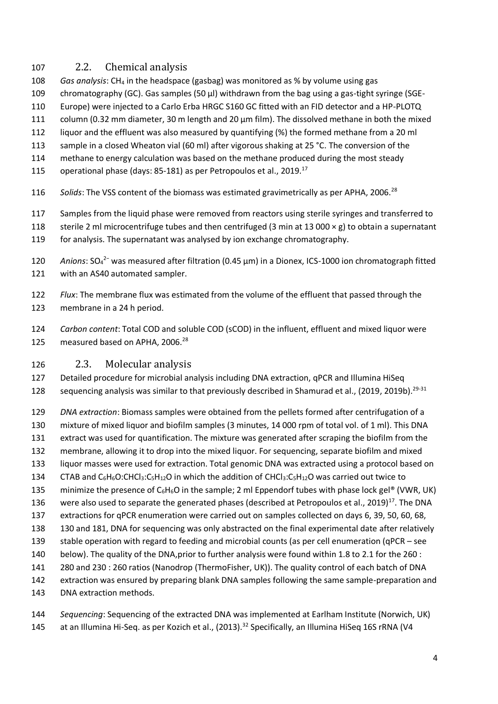## 2.2. Chemical analysis

- *Gas analysis*: CH<sup>4</sup> in the headspace (gasbag) was monitored as % by volume using gas
- chromatography (GC). Gas samples (50 μl) withdrawn from the bag using a gas-tight syringe (SGE-
- Europe) were injected to a Carlo Erba HRGC S160 GC fitted with an FID detector and a HP-PLOTQ
- column (0.32 mm diameter, 30 m length and 20 μm film). The dissolved methane in both the mixed
- liquor and the effluent was also measured by quantifying (%) the formed methane from a 20 ml
- sample in a closed Wheaton vial (60 ml) after vigorous shaking at 25 °C. The conversion of the
- methane to energy calculation was based on the methane produced during the most steady
- 115 operational phase (days: 85-181) as per Petropoulos et al., 2019.<sup>17</sup>
- 116 Solids: The VSS content of the biomass was estimated gravimetrically as per APHA, 2006.<sup>28</sup>
- Samples from the liquid phase were removed from reactors using sterile syringes and transferred to
- 118 sterile 2 ml microcentrifuge tubes and then centrifuged (3 min at 13 000  $\times$  g) to obtain a supernatant
- for analysis. The supernatant was analysed by ion exchange chromatography.
- 120 *Anions*: SO<sub>4</sub><sup>2-</sup> was measured after filtration (0.45 μm) in a Dionex, ICS-1000 ion chromatograph fitted with an AS40 automated sampler.
- *Flux*: The membrane flux was estimated from the volume of the effluent that passed through the membrane in a 24 h period.
- *Carbon content*: Total COD and soluble COD (sCOD) in the influent, effluent and mixed liquor were 125 measured based on APHA, 2006.<sup>28</sup>

### 2.3. Molecular analysis

 Detailed procedure for microbial analysis including DNA extraction, qPCR and Illumina HiSeq 128 sequencing analysis was similar to that previously described in Shamurad et al., (2019, 2019b).<sup>29-31</sup>

- *DNA extraction*: Biomass samples were obtained from the pellets formed after centrifugation of a mixture of mixed liquor and biofilm samples (3 minutes, 14 000 rpm of total vol. of 1 ml). This DNA
- extract was used for quantification. The mixture was generated after scraping the biofilm from the
- membrane, allowing it to drop into the mixed liquor. For sequencing, separate biofilm and mixed
- liquor masses were used for extraction. Total genomic DNA was extracted using a protocol based on
- 134 CTAB and  $C_6H_6O:CHCl_3:C_5H_{12}O$  in which the addition of CHCl<sub>3</sub>:C<sub>5</sub>H<sub>12</sub>O was carried out twice to
- 135 minimize the presence of  $C_6H_6O$  in the sample; 2 ml Eppendorf tubes with phase lock gel® (VWR, UK)
- 136 were also used to separate the generated phases (described at Petropoulos et al., 2019)<sup>17</sup>. The DNA extractions for qPCR enumeration were carried out on samples collected on days 6, 39, 50, 60, 68,
- 130 and 181, DNA for sequencing was only abstracted on the final experimental date after relatively
- stable operation with regard to feeding and microbial counts (as per cell enumeration (qPCR see
- below). The quality of the DNA,prior to further analysis were found within 1.8 to 2.1 for the 260 :
- 280 and 230 : 260 ratios (Nanodrop (ThermoFisher, UK)). The quality control of each batch of DNA
- extraction was ensured by preparing blank DNA samples following the same sample-preparation and
- DNA extraction methods.
- *Sequencing*: Sequencing of the extracted DNA was implemented at Earlham Institute (Norwich, UK) 145 at an Illumina Hi-Seq. as per Kozich et al., (2013).<sup>32</sup> Specifically, an Illumina HiSeq 16S rRNA (V4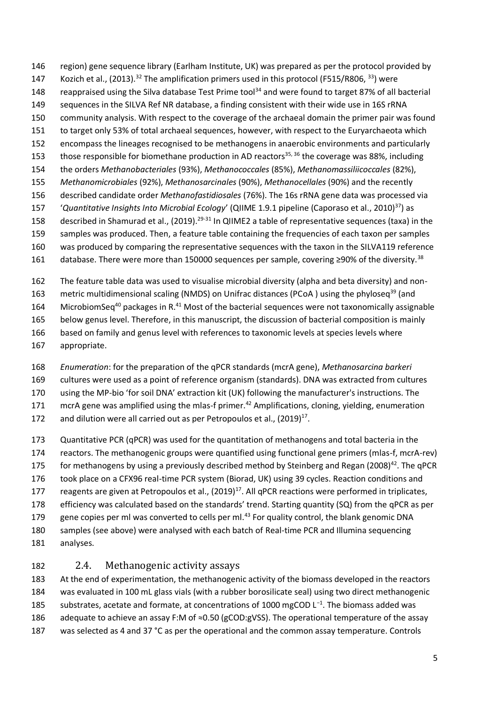region) gene sequence library (Earlham Institute, UK) was prepared as per the protocol provided by

- 147 Kozich et al., (2013).<sup>32</sup> The amplification primers used in this protocol (F515/R806, <sup>33</sup>) were
- 148 reappraised using the Silva database Test Prime tool<sup>34</sup> and were found to target 87% of all bacterial
- sequences in the SILVA Ref NR database, a finding consistent with their wide use in 16S rRNA
- community analysis. With respect to the coverage of the archaeal domain the primer pair was found to target only 53% of total archaeal sequences, however, with respect to the Euryarchaeota which
- encompass the lineages recognised to be methanogens in anaerobic environments and particularly
- 153 those responsible for biomethane production in AD reactors<sup>35, 36</sup> the coverage was 88%, including
- the orders *Methanobacteriales* (93%), *Methanococcales* (85%), *Methanomassiliicoccales* (82%),
- *Methanomicrobiales* (92%), *Methanosarcinales* (90%), *Methanocellales* (90%) and the recently
- described candidate order *Methanofastidiosales* (76%). The 16s rRNA gene data was processed via
- 157 *'Quantitative Insights Into Microbial Ecology'* (QIIME 1.9.1 pipeline (Caporaso et al., 2010)<sup>37</sup>) as
- 158 described in Shamurad et al., (2019).<sup>29-31</sup> In QIIME2 a table of representative sequences (taxa) in the
- samples was produced. Then, a feature table containing the frequencies of each taxon per samples
- was produced by comparing the representative sequences with the taxon in the SILVA119 reference
- 161 database. There were more than 150000 sequences per sample, covering ≥90% of the diversity.<sup>38</sup>
- The feature table data was used to visualise microbial diversity (alpha and beta diversity) and non-
- 163 metric multidimensional scaling (NMDS) on Unifrac distances (PCoA) using the phyloseq<sup>39</sup> (and
- 164 MicrobiomSeq<sup>40</sup> packages in R.<sup>41</sup> Most of the bacterial sequences were not taxonomically assignable
- below genus level. Therefore, in this manuscript, the discussion of bacterial composition is mainly
- based on family and genus level with references to taxonomic levels at species levels where
- appropriate.
- *Enumeration*: for the preparation of the qPCR standards (mcrA gene), *Methanosarcina barkeri*
- cultures were used as a point of reference organism (standards). DNA was extracted from cultures
- using the MP-bio 'for soil DNA' extraction kit (UK) following the manufacturer's instructions. The
- 171 mcrA gene was amplified using the mlas-f primer.<sup>42</sup> Amplifications, cloning, yielding, enumeration
- 172 and dilution were all carried out as per Petropoulos et al.,  $(2019)^{17}$ .
- Quantitative PCR (qPCR) was used for the quantitation of methanogens and total bacteria in the
- reactors. The methanogenic groups were quantified using functional gene primers (mlas-f, mcrA-rev)
- 175 for methanogens by using a previously described method by Steinberg and Regan (2008)<sup>42</sup>. The qPCR
- took place on a CFX96 real-time PCR system (Biorad, UK) using 39 cycles. Reaction conditions and
- 177 reagents are given at Petropoulos et al.,  $(2019)^{17}$ . All qPCR reactions were performed in triplicates,
- efficiency was calculated based on the standards' trend. Starting quantity (SQ) from the qPCR as per
- 179 gene copies per ml was converted to cells per ml. For quality control, the blank genomic DNA
- samples (see above) were analysed with each batch of Real-time PCR and Illumina sequencing
- analyses.

# 2.4. Methanogenic activity assays

 At the end of experimentation, the methanogenic activity of the biomass developed in the reactors was evaluated in 100 mL glass vials (with a rubber borosilicate seal) using two direct methanogenic 185 substrates, acetate and formate, at concentrations of 1000 mgCOD L<sup>-1</sup>. The biomass added was 186 adequate to achieve an assay F:M of  $\approx$ 0.50 (gCOD:gVSS). The operational temperature of the assay

was selected as 4 and 37 °C as per the operational and the common assay temperature. Controls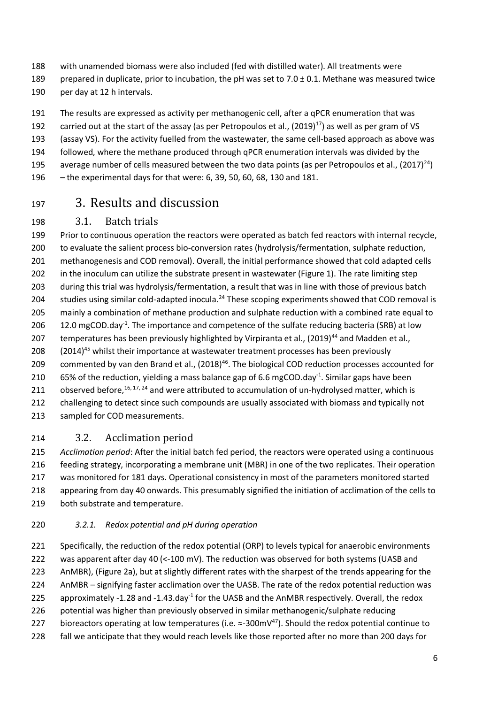- with unamended biomass were also included (fed with distilled water). All treatments were
- 189 prepared in duplicate, prior to incubation, the pH was set to 7.0  $\pm$  0.1. Methane was measured twice per day at 12 h intervals.
- The results are expressed as activity per methanogenic cell, after a qPCR enumeration that was
- 192 carried out at the start of the assay (as per Petropoulos et al.,  $(2019)^{17}$ ) as well as per gram of VS
- (assay VS). For the activity fuelled from the wastewater, the same cell-based approach as above was
- followed, where the methane produced through qPCR enumeration intervals was divided by the
- average number of cells measured between the two data points (as per Petropoulos et al.,  $(2017)^{24}$ )
- the experimental days for that were: 6, 39, 50, 60, 68, 130 and 181.

# 3. Results and discussion

# 3.1. Batch trials

 Prior to continuous operation the reactors were operated as batch fed reactors with internal recycle, to evaluate the salient process bio-conversion rates (hydrolysis/fermentation, sulphate reduction, methanogenesis and COD removal). Overall, the initial performance showed that cold adapted cells in the inoculum can utilize the substrate present in wastewater (Figure 1). The rate limiting step during this trial was hydrolysis/fermentation, a result that was in line with those of previous batch 204 studies using similar cold-adapted inocula.<sup>24</sup> These scoping experiments showed that COD removal is mainly a combination of methane production and sulphate reduction with a combined rate equal to 206  $12.0$  mgCOD.day<sup>-1</sup>. The importance and competence of the sulfate reducing bacteria (SRB) at low 207 temperatures has been previously highlighted by Virpiranta et al., (2019)<sup>44</sup> and Madden et al., 208  $(2014)^{45}$  whilst their importance at wastewater treatment processes has been previously 209 commented by van den Brand et al., (2018)<sup>46</sup>. The biological COD reduction processes accounted for 210 65% of the reduction, yielding a mass balance gap of 6.6 mgCOD.day<sup>-1</sup>. Similar gaps have been 211 observed before,  $16, 17, 24$  and were attributed to accumulation of un-hydrolysed matter, which is 212 challenging to detect since such compounds are usually associated with biomass and typically not sampled for COD measurements.

### 3.2. Acclimation period

 *Acclimation period*: After the initial batch fed period, the reactors were operated using a continuous feeding strategy, incorporating a membrane unit (MBR) in one of the two replicates. Their operation was monitored for 181 days. Operational consistency in most of the parameters monitored started appearing from day 40 onwards. This presumably signified the initiation of acclimation of the cells to both substrate and temperature.

### *3.2.1. Redox potential and pH during operation*

221 Specifically, the reduction of the redox potential (ORP) to levels typical for anaerobic environments was apparent after day 40 (<-100 mV). The reduction was observed for both systems (UASB and AnMBR), (Figure 2a), but at slightly different rates with the sharpest of the trends appearing for the AnMBR – signifying faster acclimation over the UASB. The rate of the redox potential reduction was 225 approximately -1.28 and -1.43.day<sup>-1</sup> for the UASB and the AnMBR respectively. Overall, the redox potential was higher than previously observed in similar methanogenic/sulphate reducing 227 bioreactors operating at low temperatures (i.e.  $\approx$ -300mV<sup>47</sup>). Should the redox potential continue to 228 fall we anticipate that they would reach levels like those reported after no more than 200 days for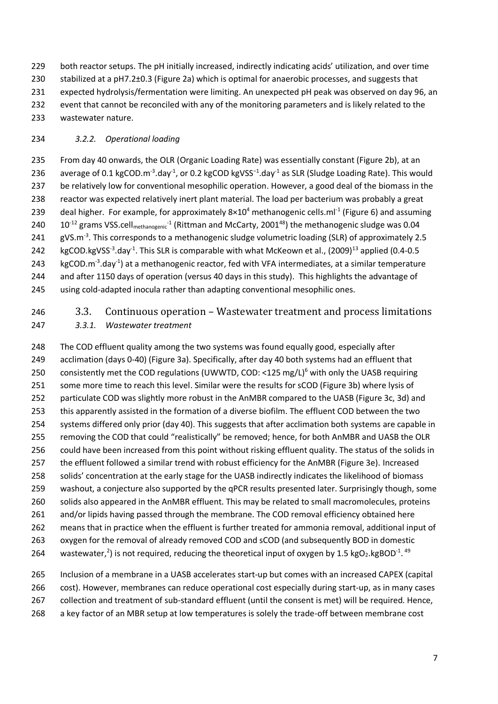both reactor setups. The pH initially increased, indirectly indicating acids' utilization, and over time stabilized at a pH7.2±0.3 (Figure 2a) which is optimal for anaerobic processes, and suggests that expected hydrolysis/fermentation were limiting. An unexpected pH peak was observed on day 96, an event that cannot be reconciled with any of the monitoring parameters and is likely related to the wastewater nature.

### *3.2.2. Operational loading*

 From day 40 onwards, the OLR (Organic Loading Rate) was essentially constant (Figure 2b), at an 236 average of 0.1 kgCOD.m<sup>-3</sup>.day<sup>-1</sup>, or 0.2 kgCOD kgVSS<sup>-1</sup>.day<sup>-1</sup> as SLR (Sludge Loading Rate). This would be relatively low for conventional mesophilic operation. However, a good deal of the biomass in the reactor was expected relatively inert plant material. The load per bacterium was probably a great 239 deal higher. For example, for approximately  $8\times10^4$  methanogenic cells.ml<sup>-1</sup> (Figure 6) and assuming  $10^{-12}$  grams VSS.cell<sub>methanogenic</sub><sup>-1</sup> (Rittman and McCarty, 2001<sup>48</sup>) the methanogenic sludge was 0.04 241 gVS.m<sup>-3</sup>. This corresponds to a methanogenic sludge volumetric loading (SLR) of approximately 2.5 242 kgCOD.kgVSS<sup>-3</sup>.day<sup>-1</sup>. This SLR is comparable with what McKeown et al., (2009)<sup>13</sup> applied (0.4-0.5  $kgCOD.m<sup>-3</sup>.day<sup>-1</sup>$ ) at a methanogenic reactor, fed with VFA intermediates, at a similar temperature and after 1150 days of operation (versus 40 days in this study). This highlights the advantage of using cold-adapted inocula rather than adapting conventional mesophilic ones.

#### 3.3. Continuous operation – Wastewater treatment and process limitations *3.3.1. Wastewater treatment*

 The COD effluent quality among the two systems was found equally good, especially after acclimation (days 0-40) (Figure 3a). Specifically, after day 40 both systems had an effluent that 250 consistently met the COD regulations (UWWTD, COD: <125 mg/L)<sup>6</sup> with only the UASB requiring 251 some more time to reach this level. Similar were the results for sCOD (Figure 3b) where lysis of particulate COD was slightly more robust in the AnMBR compared to the UASB (Figure 3c, 3d) and this apparently assisted in the formation of a diverse biofilm. The effluent COD between the two 254 systems differed only prior (day 40). This suggests that after acclimation both systems are capable in removing the COD that could "realistically" be removed; hence, for both AnMBR and UASB the OLR could have been increased from this point without risking effluent quality. The status of the solids in the effluent followed a similar trend with robust efficiency for the AnMBR (Figure 3e). Increased solids' concentration at the early stage for the UASB indirectly indicates the likelihood of biomass washout, a conjecture also supported by the qPCR results presented later. Surprisingly though, some solids also appeared in the AnMBR effluent. This may be related to small macromolecules, proteins 261 and/or lipids having passed through the membrane. The COD removal efficiency obtained here means that in practice when the effluent is further treated for ammonia removal, additional input of oxygen for the removal of already removed COD and sCOD (and subsequently BOD in domestic 264 wastewater,<sup>2</sup>) is not required, reducing the theoretical input of oxygen by 1.5 kgO<sub>2</sub>.kgBOD<sup>-1</sup>.<sup>49</sup>

 Inclusion of a membrane in a UASB accelerates start-up but comes with an increased CAPEX (capital cost). However, membranes can reduce operational cost especially during start-up, as in many cases collection and treatment of sub-standard effluent (until the consent is met) will be required. Hence, a key factor of an MBR setup at low temperatures is solely the trade-off between membrane cost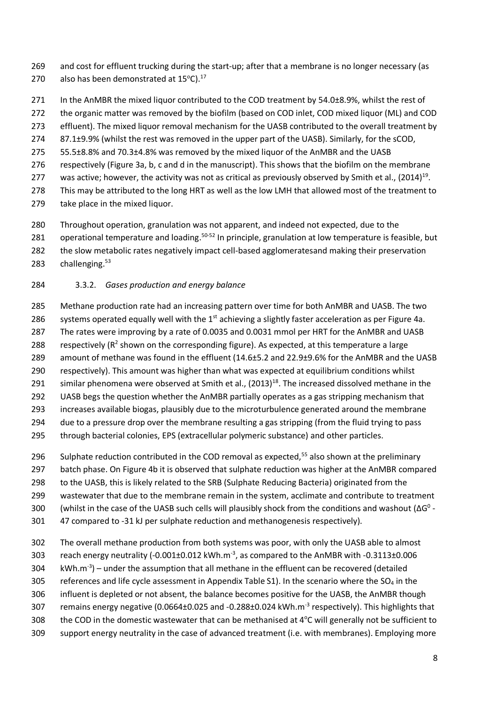- 269 and cost for effluent trucking during the start-up; after that a membrane is no longer necessary (as 270 also has been demonstrated at  $15^{\circ}$ C).<sup>17</sup>
- 271 In the AnMBR the mixed liquor contributed to the COD treatment by 54.0±8.9%, whilst the rest of 272 the organic matter was removed by the biofilm (based on COD inlet, COD mixed liquor (ML) and COD 273 effluent). The mixed liquor removal mechanism for the UASB contributed to the overall treatment by 274 87.1±9.9% (whilst the rest was removed in the upper part of the UASB). Similarly, for the sCOD, 275 55.5±8.8% and 70.3±4.8% was removed by the mixed liquor of the AnMBR and the UASB 276 respectively (Figure 3a, b, c and d in the manuscript). This shows that the biofilm on the membrane 277 was active; however, the activity was not as critical as previously observed by Smith et al.,  $(2014)^{19}$ . 278 This may be attributed to the long HRT as well as the low LMH that allowed most of the treatment to 279 take place in the mixed liquor.
- 280 Throughout operation, granulation was not apparent, and indeed not expected, due to the
- 281 operational temperature and loading.<sup>50-52</sup> In principle, granulation at low temperature is feasible, but
- 282 the slow metabolic rates negatively impact cell-based agglomeratesand making their preservation
- 283 challenging.<sup>53</sup>

#### 284 3.3.2. *Gases production and energy balance*

- 285 Methane production rate had an increasing pattern over time for both AnMBR and UASB. The two 286 systems operated equally well with the  $1<sup>st</sup>$  achieving a slightly faster acceleration as per Figure 4a. 287 The rates were improving by a rate of 0.0035 and 0.0031 mmol per HRT for the AnMBR and UASB 288 respectively ( $R^2$  shown on the corresponding figure). As expected, at this temperature a large 289 amount of methane was found in the effluent (14.6±5.2 and 22.9±9.6% for the AnMBR and the UASB 290 respectively). This amount was higher than what was expected at equilibrium conditions whilst 291 similar phenomena were observed at Smith et al., (2013)<sup>18</sup>. The increased dissolved methane in the 292 UASB begs the question whether the AnMBR partially operates as a gas stripping mechanism that
- 293 increases available biogas, plausibly due to the microturbulence generated around the membrane
- 294 due to a pressure drop over the membrane resulting a gas stripping (from the fluid trying to pass
- 295 through bacterial colonies, EPS (extracellular polymeric substance) and other particles.
- 296 Sulphate reduction contributed in the COD removal as expected,<sup>55</sup> also shown at the preliminary
- 297 batch phase. On Figure 4b it is observed that sulphate reduction was higher at the AnMBR compared
- 298 to the UASB, this is likely related to the SRB (Sulphate Reducing Bacteria) originated from the
- 299 wastewater that due to the membrane remain in the system, acclimate and contribute to treatment
- 300 (whilst in the case of the UASB such cells will plausibly shock from the conditions and washout  $(Δ<sup>0</sup> -$
- 301 47 compared to -31 kJ per sulphate reduction and methanogenesis respectively).
- 302 The overall methane production from both systems was poor, with only the UASB able to almost
- 303 reach energy neutrality (-0.001 $\pm$ 0.012 kWh.m<sup>-3</sup>, as compared to the AnMBR with -0.3113 $\pm$ 0.006
- 304  $\,$  kWh.m<sup>-3</sup>) under the assumption that all methane in the effluent can be recovered (detailed
- 305 references and life cycle assessment in Appendix Table S1). In the scenario where the  $SO_4$  in the
- 306 influent is depleted or not absent, the balance becomes positive for the UASB, the AnMBR though
- 307 remains energy negative (0.0664±0.025 and -0.288±0.024 kWh.m<sup>-3</sup> respectively). This highlights that
- 308 the COD in the domestic wastewater that can be methanised at  $4^{\circ}$ C will generally not be sufficient to
- 309 support energy neutrality in the case of advanced treatment (i.e. with membranes). Employing more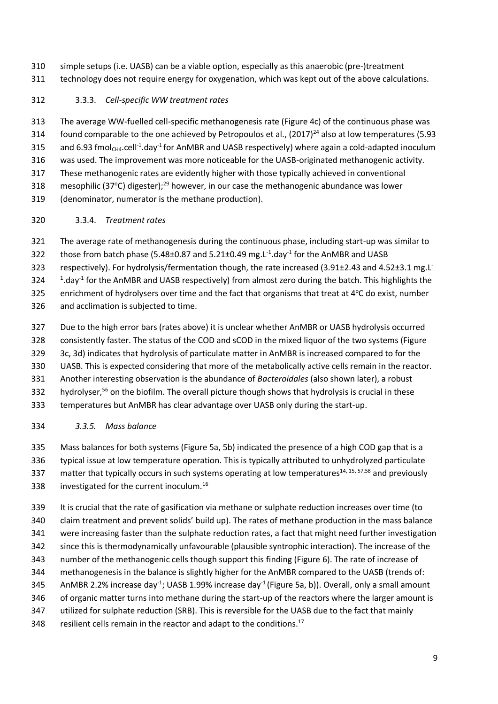simple setups (i.e. UASB) can be a viable option, especially as this anaerobic (pre-)treatment technology does not require energy for oxygenation, which was kept out of the above calculations.

### 3.3.3. *Cell-specific WW treatment rates*

 The average WW-fuelled cell-specific methanogenesis rate (Figure 4c) of the continuous phase was 314 found comparable to the one achieved by Petropoulos et al.,  $(2017)^{24}$  also at low temperatures (5.93 315 and 6.93 fmol<sub>CH4</sub>.cell<sup>-1</sup>.day<sup>-1</sup> for AnMBR and UASB respectively) where again a cold-adapted inoculum was used. The improvement was more noticeable for the UASB-originated methanogenic activity. These methanogenic rates are evidently higher with those typically achieved in conventional 318 mesophilic (37°C) digester);<sup>29</sup> however, in our case the methanogenic abundance was lower (denominator, numerator is the methane production).

### 3.3.4. *Treatment rates*

 The average rate of methanogenesis during the continuous phase, including start-up was similar to 322 those from batch phase (5.48 $\pm$ 0.87 and 5.21 $\pm$ 0.49 mg.L<sup>-1</sup>.day<sup>-1</sup> for the AnMBR and UASB 323 respectively). For hydrolysis/fermentation though, the rate increased (3.91±2.43 and 4.52±3.1 mg.L<sup>-</sup> 324  $\frac{1}{1}$ .day<sup>-1</sup> for the AnMBR and UASB respectively) from almost zero during the batch. This highlights the 325 enrichment of hydrolysers over time and the fact that organisms that treat at  $4^{\circ}$ C do exist, number and acclimation is subjected to time.

 Due to the high error bars (rates above) it is unclear whether AnMBR or UASB hydrolysis occurred consistently faster. The status of the COD and sCOD in the mixed liquor of the two systems (Figure 3c, 3d) indicates that hydrolysis of particulate matter in AnMBR is increased compared to for the UASB. This is expected considering that more of the metabolically active cells remain in the reactor. Another interesting observation is the abundance of *Bacteroidales* (also shown later), a robust 332 hydrolyser,<sup>56</sup> on the biofilm. The overall picture though shows that hydrolysis is crucial in these temperatures but AnMBR has clear advantage over UASB only during the start-up.

### *3.3.5. Mass balance*

 Mass balances for both systems (Figure 5a, 5b) indicated the presence of a high COD gap that is a typical issue at low temperature operation. This is typically attributed to unhydrolyzed particulate 337 matter that typically occurs in such systems operating at low temperatures<sup>14, 15, 57,58</sup> and previously 338 investigated for the current inoculum.<sup>16</sup>

 It is crucial that the rate of gasification via methane or sulphate reduction increases over time (to claim treatment and prevent solids' build up). The rates of methane production in the mass balance were increasing faster than the sulphate reduction rates, a fact that might need further investigation since this is thermodynamically unfavourable (plausible syntrophic interaction). The increase of the number of the methanogenic cells though support this finding (Figure 6). The rate of increase of methanogenesis in the balance is slightly higher for the AnMBR compared to the UASB (trends of: 345 AnMBR 2.2% increase day<sup>-1</sup>; UASB 1.99% increase day<sup>-1</sup> (Figure 5a, b)). Overall, only a small amount of organic matter turns into methane during the start-up of the reactors where the larger amount is utilized for sulphate reduction (SRB). This is reversible for the UASB due to the fact that mainly  $\phantom{1}$  resilient cells remain in the reactor and adapt to the conditions.<sup>17</sup>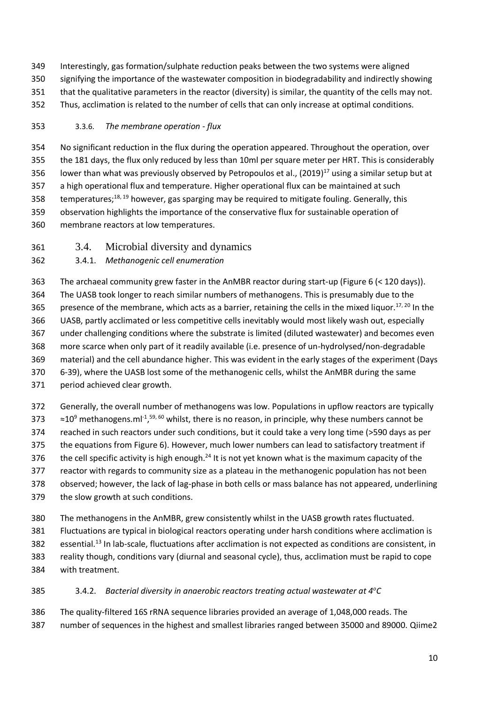Interestingly, gas formation/sulphate reduction peaks between the two systems were aligned signifying the importance of the wastewater composition in biodegradability and indirectly showing that the qualitative parameters in the reactor (diversity) is similar, the quantity of the cells may not. Thus, acclimation is related to the number of cells that can only increase at optimal conditions.

### 3.3.6. *The membrane operation - flux*

 No significant reduction in the flux during the operation appeared. Throughout the operation, over the 181 days, the flux only reduced by less than 10ml per square meter per HRT. This is considerably 356 lower than what was previously observed by Petropoulos et al.,  $(2019)^{17}$  using a similar setup but at a high operational flux and temperature. Higher operational flux can be maintained at such 358 temperatures;<sup>18, 19</sup> however, gas sparging may be required to mitigate fouling. Generally, this observation highlights the importance of the conservative flux for sustainable operation of membrane reactors at low temperatures.

3.4. Microbial diversity and dynamics

### 3.4.1. *Methanogenic cell enumeration*

 The archaeal community grew faster in the AnMBR reactor during start-up (Figure 6 (< 120 days)). The UASB took longer to reach similar numbers of methanogens. This is presumably due to the 365 presence of the membrane, which acts as a barrier, retaining the cells in the mixed liquor.<sup>17, 20</sup> In the UASB, partly acclimated or less competitive cells inevitably would most likely wash out, especially under challenging conditions where the substrate is limited (diluted wastewater) and becomes even more scarce when only part of it readily available (i.e. presence of un-hydrolysed/non-degradable material) and the cell abundance higher. This was evident in the early stages of the experiment (Days 6-39), where the UASB lost some of the methanogenic cells, whilst the AnMBR during the same period achieved clear growth.

 Generally, the overall number of methanogens was low. Populations in upflow reactors are typically  $\approx$  ≈10<sup>9</sup> methanogens.ml<sup>-1</sup>,<sup>59, 60</sup> whilst, there is no reason, in principle, why these numbers cannot be reached in such reactors under such conditions, but it could take a very long time (>590 days as per the equations from Figure 6). However, much lower numbers can lead to satisfactory treatment if 376 the cell specific activity is high enough.<sup>24</sup> It is not yet known what is the maximum capacity of the reactor with regards to community size as a plateau in the methanogenic population has not been observed; however, the lack of lag-phase in both cells or mass balance has not appeared, underlining the slow growth at such conditions.

The methanogens in the AnMBR, grew consistently whilst in the UASB growth rates fluctuated.

 Fluctuations are typical in biological reactors operating under harsh conditions where acclimation is 382 essential.<sup>13</sup> In lab-scale, fluctuations after acclimation is not expected as conditions are consistent, in reality though, conditions vary (diurnal and seasonal cycle), thus, acclimation must be rapid to cope with treatment.

### 3.4.2. *Bacterial diversity in anaerobic reactors treating actual wastewater at 4<sup>o</sup> C*

 The quality-filtered 16S rRNA sequence libraries provided an average of 1,048,000 reads. The number of sequences in the highest and smallest libraries ranged between 35000 and 89000. Qiime2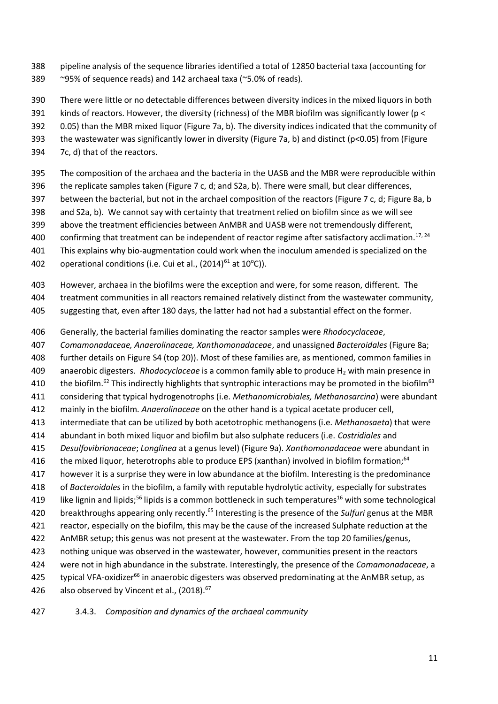- pipeline analysis of the sequence libraries identified a total of 12850 bacterial taxa (accounting for ~95% of sequence reads) and 142 archaeal taxa (~5.0% of reads).
- There were little or no detectable differences between diversity indices in the mixed liquors in both
- kinds of reactors. However, the diversity (richness) of the MBR biofilm was significantly lower (p <
- 0.05) than the MBR mixed liquor (Figure 7a, b). The diversity indices indicated that the community of
- the wastewater was significantly lower in diversity (Figure 7a, b) and distinct (p<0.05) from (Figure
- 7c, d) that of the reactors.
- The composition of the archaea and the bacteria in the UASB and the MBR were reproducible within
- the replicate samples taken (Figure 7 c, d; and S2a, b). There were small, but clear differences,
- between the bacterial, but not in the archael composition of the reactors (Figure 7 c, d; Figure 8a, b
- and S2a, b). We cannot say with certainty that treatment relied on biofilm since as we will see
- above the treatment efficiencies between AnMBR and UASB were not tremendously different,
- 400 confirming that treatment can be independent of reactor regime after satisfactory acclimation.<sup>17, 24</sup>
- This explains why bio-augmentation could work when the inoculum amended is specialized on the
- 402 operational conditions (i.e. Cui et al.,  $(2014)^{61}$  at  $10^{\circ}$ C)).
- However, archaea in the biofilms were the exception and were, for some reason, different. The
- treatment communities in all reactors remained relatively distinct from the wastewater community,
- suggesting that, even after 180 days, the latter had not had a substantial effect on the former.
- Generally, the bacterial families dominating the reactor samples were *Rhodocyclaceae*,
- *Comamonadaceae, Anaerolinaceae, Xanthomonadaceae*, and unassigned *Bacteroidales* (Figure 8a;
- further details on Figure S4 (top 20)). Most of these families are, as mentioned, common families in
- 409 anaerobic digesters. *Rhodocyclaceae* is a common family able to produce H<sub>2</sub> with main presence in
- 410 the biofilm.<sup>62</sup> This indirectly highlights that syntrophic interactions may be promoted in the biofilm<sup>63</sup>
- considering that typical hydrogenotrophs (i.e. *Methanomicrobiales, Methanosarcina*) were abundant
- mainly in the biofilm. *Anaerolinaceae* on the other hand is a typical acetate producer cell,
- intermediate that can be utilized by both acetotrophic methanogens (i.e. *Methanosaeta*) that were
- abundant in both mixed liquor and biofilm but also sulphate reducers (i.e. *Costridiales* and
- *Desulfovibrionaceae*; *Longlinea* at a genus level) (Figure 9a). *Xanthomonadaceae* were abundant in
- 416 the mixed liquor, heterotrophs able to produce EPS (xanthan) involved in biofilm formation;<sup>64</sup>
- however it is a surprise they were in low abundance at the biofilm. Interesting is the predominance
- of *Bacteroidales* in the biofilm, a family with reputable hydrolytic activity, especially for substrates
- 419 like lignin and lipids;<sup>56</sup> lipids is a common bottleneck in such temperatures<sup>16</sup> with some technological
- 420 breakthroughs appearing only recently.<sup>65</sup> Interesting is the presence of the *Sulfuri* genus at the MBR
- reactor, especially on the biofilm, this may be the cause of the increased Sulphate reduction at the
- AnMBR setup; this genus was not present at the wastewater. From the top 20 families/genus,
- nothing unique was observed in the wastewater, however, communities present in the reactors were not in high abundance in the substrate. Interestingly, the presence of the *Comamonadaceae*, a
- 425 typical VFA-oxidizer<sup>66</sup> in anaerobic digesters was observed predominating at the AnMBR setup, as
- 426 also observed by Vincent et al.,  $(2018).<sup>67</sup>$
- 3.4.3. *Composition and dynamics of the archaeal community*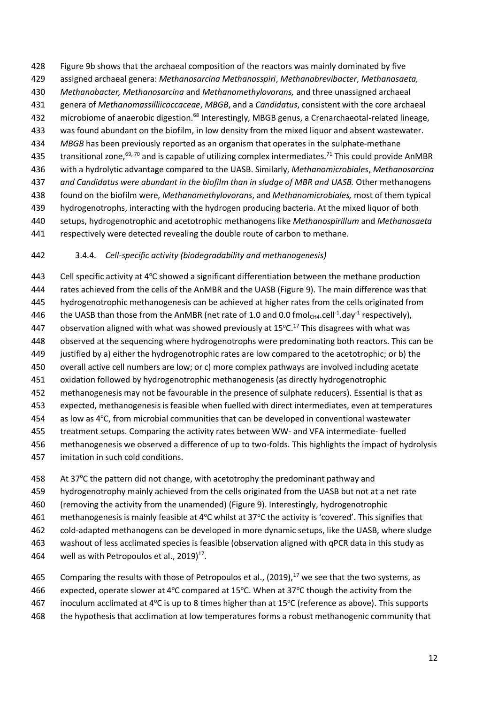Figure 9b shows that the archaeal composition of the reactors was mainly dominated by five assigned archaeal genera: *Methanosarcina Methanosspiri*, *Methanobrevibacter*, *Methanosaeta, Methanobacter, Methanosarcina* and *Methanomethylovorans,* and three unassigned archaeal genera of *Methanomassilliicoccaceae*, *MBGB*, and a *Candidatus*, consistent with the core archaeal 432 microbiome of anaerobic digestion.<sup>68</sup> Interestingly, MBGB genus, a Crenarchaeotal-related lineage, was found abundant on the biofilm, in low density from the mixed liquor and absent wastewater. *MBGB* has been previously reported as an organism that operates in the sulphate-methane 435 transitional zone,<sup>69, 70</sup> and is capable of utilizing complex intermediates.<sup>71</sup> This could provide AnMBR with a hydrolytic advantage compared to the UASB. Similarly, *Methanomicrobiales*, *Methanosarcina and Candidatus were abundant in the biofilm than in sludge of MBR and UASB.* Other methanogens found on the biofilm were, *Methanomethylovorans*, and *Methanomicrobiales,* most of them typical hydrogenotrophs, interacting with the hydrogen producing bacteria. At the mixed liquor of both setups, hydrogenotrophic and acetotrophic methanogens like *Methanospirillum* and *Methanosaeta* respectively were detected revealing the double route of carbon to methane.

#### 3.4.4. *Cell-specific activity (biodegradability and methanogenesis)*

443 Cell specific activity at  $4^{\circ}$ C showed a significant differentiation between the methane production rates achieved from the cells of the AnMBR and the UASB (Figure 9). The main difference was that hydrogenotrophic methanogenesis can be achieved at higher rates from the cells originated from 446 the UASB than those from the AnMBR (net rate of 1.0 and 0.0 fmol<sub>CH4</sub>.cell<sup>-1</sup>.day<sup>-1</sup> respectively), 447 observation aligned with what was showed previously at  $15^{\circ}$ C.<sup>17</sup> This disagrees with what was observed at the sequencing where hydrogenotrophs were predominating both reactors. This can be justified by a) either the hydrogenotrophic rates are low compared to the acetotrophic; or b) the overall active cell numbers are low; or c) more complex pathways are involved including acetate oxidation followed by hydrogenotrophic methanogenesis (as directly hydrogenotrophic methanogenesis may not be favourable in the presence of sulphate reducers). Essential is that as expected, methanogenesis is feasible when fuelled with direct intermediates, even at temperatures as low as  $4^{\circ}$ C, from microbial communities that can be developed in conventional wastewater treatment setups. Comparing the activity rates between WW- and VFA intermediate- fuelled methanogenesis we observed a difference of up to two-folds. This highlights the impact of hydrolysis imitation in such cold conditions.

458 At  $37^{\circ}$ C the pattern did not change, with acetotrophy the predominant pathway and

hydrogenotrophy mainly achieved from the cells originated from the UASB but not at a net rate

(removing the activity from the unamended) (Figure 9). Interestingly, hydrogenotrophic

461 methanogenesis is mainly feasible at 4 $\degree$ C whilst at 37 $\degree$ C the activity is 'covered'. This signifies that

cold-adapted methanogens can be developed in more dynamic setups, like the UASB, where sludge

- washout of less acclimated species is feasible (observation aligned with qPCR data in this study as
- 464 well as with Petropoulos et al.,  $2019)^{17}$ .

465 Comparing the results with those of Petropoulos et al., (2019), we see that the two systems, as 466 expected, operate slower at 4 $\degree$ C compared at 15 $\degree$ C. When at 37 $\degree$ C though the activity from the

467 inoculum acclimated at 4 $\textdegree$ C is up to 8 times higher than at 15 $\textdegree$ C (reference as above). This supports

the hypothesis that acclimation at low temperatures forms a robust methanogenic community that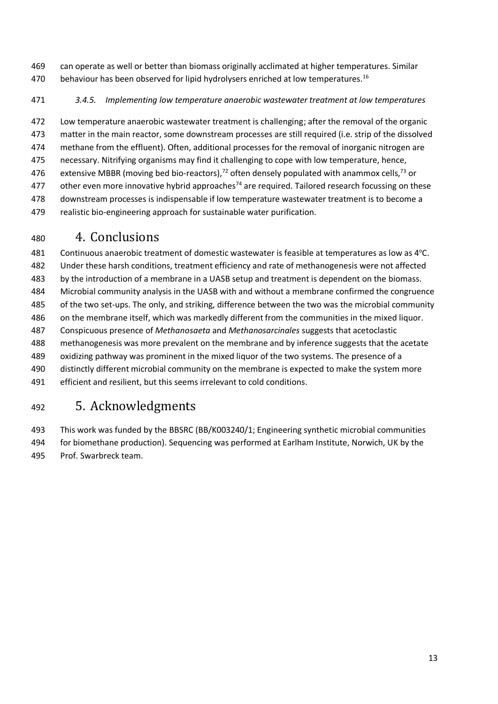- can operate as well or better than biomass originally acclimated at higher temperatures. Similar 470 behaviour has been observed for lipid hydrolysers enriched at low temperatures.<sup>16</sup>
- *3.4.5. Implementing low temperature anaerobic wastewater treatment at low temperatures*

 Low temperature anaerobic wastewater treatment is challenging; after the removal of the organic matter in the main reactor, some downstream processes are still required (i.e. strip of the dissolved methane from the effluent). Often, additional processes for the removal of inorganic nitrogen are necessary. Nitrifying organisms may find it challenging to cope with low temperature, hence, 476 extensive MBBR (moving bed bio-reactors),<sup>72</sup> often densely populated with anammox cells,<sup>73</sup> or 477 other even more innovative hybrid approaches<sup>74</sup> are required. Tailored research focussing on these downstream processes is indispensable if low temperature wastewater treatment is to become a realistic bio-engineering approach for sustainable water purification.

# 4. Conclusions

481 Continuous anaerobic treatment of domestic wastewater is feasible at temperatures as low as  $4^{\circ}$ C. Under these harsh conditions, treatment efficiency and rate of methanogenesis were not affected by the introduction of a membrane in a UASB setup and treatment is dependent on the biomass. Microbial community analysis in the UASB with and without a membrane confirmed the congruence of the two set-ups. The only, and striking, difference between the two was the microbial community on the membrane itself, which was markedly different from the communities in the mixed liquor. Conspicuous presence of *Methanosaeta* and *Methanosarcinales* suggests that acetoclastic methanogenesis was more prevalent on the membrane and by inference suggests that the acetate oxidizing pathway was prominent in the mixed liquor of the two systems. The presence of a distinctly different microbial community on the membrane is expected to make the system more efficient and resilient, but this seems irrelevant to cold conditions.

# 5. Acknowledgments

 This work was funded by the BBSRC (BB/K003240/1; Engineering synthetic microbial communities for biomethane production). Sequencing was performed at Earlham Institute, Norwich, UK by the Prof. Swarbreck team.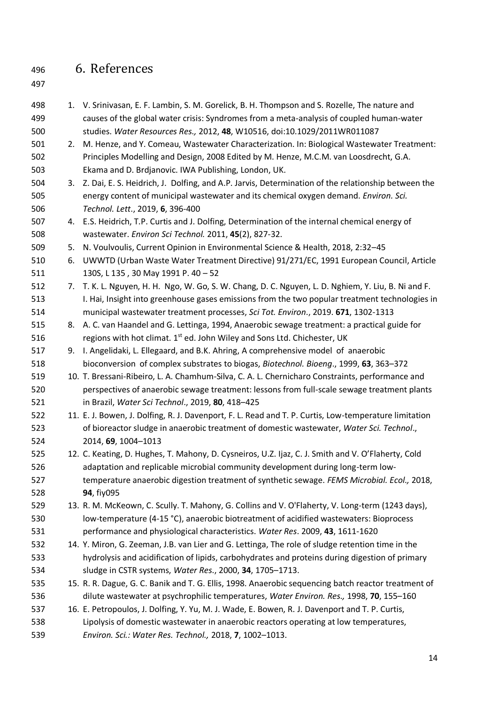# 6. References

- 
- 498 1. V. Srinivasan, E. F. Lambin, S. M. Gorelick, B. H. Thompson and S. Rozelle, The nature and causes of the global water crisis: Syndromes from a meta-analysis of coupled human-water studies. *Water Resources Res.,* 2012, **48**, W10516, doi:10.1029/2011WR011087
- 2. M. Henze, and Y. Comeau, Wastewater Characterization. In: Biological Wastewater Treatment: Principles Modelling and Design, 2008 Edited by M. Henze, M.C.M. van Loosdrecht, G.A. Ekama and D. Brdjanovic. IWA Publishing, London, UK.
- 3. Z. Dai, E. S. Heidrich, J. Dolfing, and A.P. Jarvis, Determination of the relationship between the energy content of municipal wastewater and its chemical oxygen demand. *Environ. Sci. Technol. Lett*., 2019, **6**, 396-400
- 4. E.S. Heidrich, T.P. Curtis and J. Dolfing, Determination of the internal chemical energy of wastewater. *Environ Sci Technol.* 2011, **45**(2), 827-32.
- 5. N. Voulvoulis, Current Opinion in Environmental Science & Health, 2018, 2:32–45
- 6. UWWTD (Urban Waste Water Treatment Directive) 91/271/EC, 1991 European Council, Article 130S, L 135 , 30 May 1991 P. 40 – 52
- 7. T. K. L. Nguyen, H. H. Ngo, W. Go, S. W. Chang, D. C. Nguyen, L. D. Nghiem, Y. Liu, B. Ni and F. I. Hai, Insight into greenhouse gases emissions from the two popular treatment technologies in municipal wastewater treatment processes, *Sci Tot. Environ*., 2019. **671**, 1302-1313
- 8. A. C. van Haandel and G. Lettinga, 1994, Anaerobic sewage treatment: a practical guide for 516 regions with hot climat.  $1<sup>st</sup>$  ed. John Wiley and Sons Ltd. Chichester, UK
- 9. I. Angelidaki, L. Ellegaard, and B.K. Ahring, A comprehensive model of anaerobic bioconversion of complex substrates to biogas, *Biotechnol. Bioeng*., 1999, **63**, 363–372
- 10. T. Bressani-Ribeiro, L. A. Chamhum-Silva, C. A. L. Chernicharo Constraints, performance and perspectives of anaerobic sewage treatment: lessons from full-scale sewage treatment plants in Brazil, *Water Sci Technol*., 2019, **80**, 418–425
- 11. E. J. Bowen, J. Dolfing, R. J. Davenport, F. L. Read and T. P. Curtis, Low-temperature limitation of bioreactor sludge in anaerobic treatment of domestic wastewater, *Water Sci. Technol*., 2014, **69**, 1004–1013
- 12. C. Keating, D. Hughes, T. Mahony, D. Cysneiros, U.Z. Ijaz, C. J. Smith and V. O'Flaherty, Cold adaptation and replicable microbial community development during long-term low- temperature anaerobic digestion treatment of synthetic sewage. *FEMS Microbial. Ecol.,* 2018, **94**, fiy095
- 13. R. M. McKeown, C. Scully. T. Mahony, G. Collins and V. O'Flaherty, V. Long-term (1243 days), low-temperature (4-15 °C), anaerobic biotreatment of acidified wastewaters: Bioprocess performance and physiological characteristics. *Water Res*. 2009, **43**, 1611-1620
- 14. Y. Miron, G. Zeeman, J.B. van Lier and G. Lettinga, The role of sludge retention time in the hydrolysis and acidification of lipids, carbohydrates and proteins during digestion of primary sludge in CSTR systems, *Water Res*., 2000, **34**, 1705–1713.
- 15. R. R. Dague, G. C. Banik and T. G. Ellis, 1998. Anaerobic sequencing batch reactor treatment of dilute wastewater at psychrophilic temperatures, *Water Environ. Res.,* 1998, **70**, 155–160
- 16. E. Petropoulos, J. Dolfing, Y. Yu, M. J. Wade, E. Bowen, R. J. Davenport and T. P. Curtis, Lipolysis of domestic wastewater in anaerobic reactors operating at low temperatures, *Environ. Sci.: Water Res. Technol.,* 2018, **7**, 1002–1013.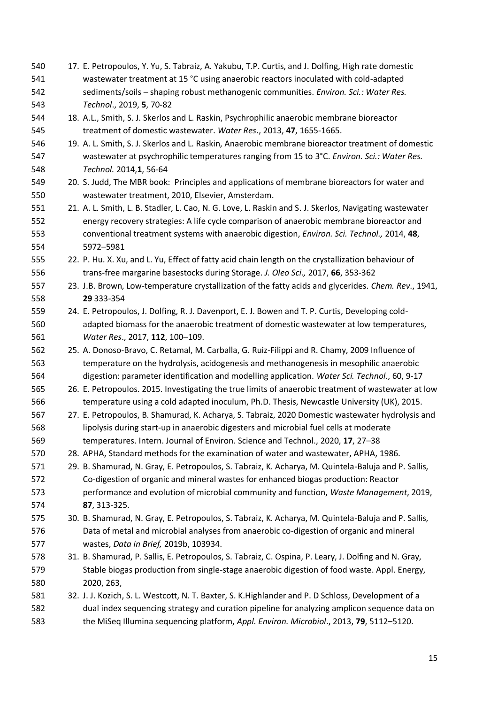17. E. Petropoulos, Y. Yu, S. Tabraiz, A. Yakubu, T.P. Curtis, and J. Dolfing, High rate domestic wastewater treatment at 15 °C using anaerobic reactors inoculated with cold-adapted sediments/soils – shaping robust methanogenic communities. *Environ. Sci.: Water Res. Technol*., 2019, **5**, 70-82 18. A.L., Smith, S. J. Skerlos and L. Raskin, Psychrophilic anaerobic membrane bioreactor treatment of domestic wastewater. *Water Res*., 2013, **47**, 1655-1665. 19. A. L. Smith, S. J. Skerlos and L. Raskin, Anaerobic membrane bioreactor treatment of domestic wastewater at psychrophilic temperatures ranging from 15 to 3°C. *Environ. Sci.: Water Res. Technol.* 2014,**1**, 56-64 20. S. Judd, The MBR book: Principles and applications of membrane bioreactors for water and wastewater treatment, 2010, Elsevier, Amsterdam. 21. A. L. Smith, L. B. Stadler, L. Cao, N. G. Love, L. Raskin and S. J. Skerlos, Navigating wastewater energy recovery strategies: A life cycle comparison of anaerobic membrane bioreactor and conventional treatment systems with anaerobic digestion, *Environ. Sci. Technol.,* 2014, **48**, 5972–5981 22. P. Hu. X. Xu, and L. Yu, Effect of fatty acid chain length on the crystallization behaviour of trans-free margarine basestocks during Storage. *J. Oleo Sci.,* 2017, **66**, 353-362 23. J.B. Brown, Low-temperature crystallization of the fatty acids and glycerides. *Chem. Rev*., 1941, **29** 333-354 24. E. Petropoulos, J. Dolfing, R. J. Davenport, E. J. Bowen and T. P. Curtis, Developing cold- adapted biomass for the anaerobic treatment of domestic wastewater at low temperatures, *Water Res*., 2017, **112**, 100–109. 25. A. Donoso-Bravo, C. Retamal, M. Carballa, G. Ruiz-Filippi and R. Chamy, 2009 Influence of temperature on the hydrolysis, acidogenesis and methanogenesis in mesophilic anaerobic digestion: parameter identification and modelling application. *Water Sci. Technol*., 60, 9-17 26. E. Petropoulos. 2015. Investigating the true limits of anaerobic treatment of wastewater at low 566 temperature using a cold adapted inoculum, Ph.D. Thesis, Newcastle University (UK), 2015. 27. E. Petropoulos, B. Shamurad, K. Acharya, S. Tabraiz, 2020 Domestic wastewater hydrolysis and lipolysis during start-up in anaerobic digesters and microbial fuel cells at moderate temperatures. Intern. Journal of Environ. Science and Technol., 2020, **17**, 27–38 28. APHA, Standard methods for the examination of water and wastewater, APHA, 1986. 29. B. Shamurad, N. Gray, E. Petropoulos, S. Tabraiz, K. Acharya, M. Quintela-Baluja and P. Sallis, Co-digestion of organic and mineral wastes for enhanced biogas production: Reactor performance and evolution of microbial community and function, *Waste Management*, 2019, **87**, 313-325. 30. B. Shamurad, N. Gray, E. Petropoulos, S. Tabraiz, K. Acharya, M. Quintela-Baluja and P. Sallis, Data of metal and microbial analyses from anaerobic co-digestion of organic and mineral wastes, *Data in Brief,* 2019b, 103934. 31. B. Shamurad, P. Sallis, E. Petropoulos, S. Tabraiz, C. Ospina, P. Leary, J. Dolfing and N. Gray, Stable biogas production from single-stage anaerobic digestion of food waste. Appl. Energy, 2020, 263, 32. J. J. Kozich, S. L. Westcott, N. T. Baxter, S. K.Highlander and P. D Schloss, Development of a dual index sequencing strategy and curation pipeline for analyzing amplicon sequence data on the MiSeq Illumina sequencing platform, *Appl. Environ. Microbiol*., 2013, **79**, 5112–5120.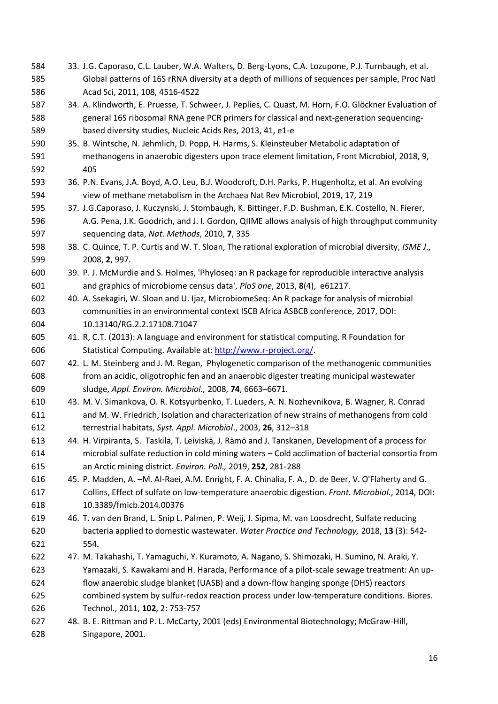33. J.G. Caporaso, C.L. Lauber, W.A. Walters, D. Berg-Lyons, C.A. Lozupone, P.J. Turnbaugh, et al. Global patterns of 16S rRNA diversity at a depth of millions of sequences per sample, Proc Natl Acad Sci, 2011, 108, 4516-4522 34. A. Klindworth, E. Pruesse, T. Schweer, J. Peplies, C. Quast, M. Horn, F.O. Glöckner Evaluation of general 16S ribosomal RNA gene PCR primers for classical and next-generation sequencing- based diversity studies, Nucleic Acids Res, 2013, 41, e1-e 35. B. Wintsche, N. Jehmlich, D. Popp, H. Harms, S. Kleinsteuber Metabolic adaptation of methanogens in anaerobic digesters upon trace element limitation, Front Microbiol, 2018, 9, 405 36. P.N. Evans, J.A. Boyd, A.O. Leu, B.J. Woodcroft, D.H. Parks, P. Hugenholtz, et al. An evolving view of methane metabolism in the Archaea Nat Rev Microbiol, 2019, 17, 219 37. J.G.Caporaso, J. Kuczynski, J. Stombaugh, K. Bittinger, F.D. Bushman, E.K. Costello, N. Fierer, A.G. Pena, J.K. Goodrich, and J. I. Gordon, QIIME allows analysis of high throughput community sequencing data, *Nat. Methods*, 2010, **7**, 335 38. C. Quince, T. P. Curtis and W. T. Sloan, The rational exploration of microbial diversity, *ISME J*., 2008, **2**, 997. 39. P. J. McMurdie and S. Holmes, 'Phyloseq: an R package for reproducible interactive analysis and graphics of microbiome census data', *PloS one*, 2013, **8**(4), e61217. 40. A. Ssekagiri, W. Sloan and U. Ijaz, MicrobiomeSeq: An R package for analysis of microbial communities in an environmental context ISCB Africa ASBCB conference, 2017, DOI: 10.13140/RG.2.2.17108.71047 41. R, C.T. (2013): A language and environment for statistical computing. R Foundation for Statistical Computing. Available at[: http://www.r-project.org/.](http://www.r-project.org/) 42. L. M. Steinberg and J. M. Regan, Phylogenetic comparison of the methanogenic communities from an acidic, oligotrophic fen and an anaerobic digester treating municipal wastewater sludge, *Appl. Environ. Microbiol.,* 2008, **74**, 6663–6671. 43. M. V. Simankova, O. R. Kotsyurbenko, T. Lueders, A. N. Nozhevnikova, B. Wagner, R. Conrad and M. W. Friedrich, Isolation and characterization of new strains of methanogens from cold terrestrial habitats, *Syst. Appl. Microbiol*., 2003, **26**, 312–318 44. H. Virpiranta, S. Taskila, T. Leiviskä, J. Rämö and J. Tanskanen, Development of a process for microbial sulfate reduction in cold mining waters – Cold acclimation of bacterial consortia from an Arctic mining district. *Environ. Poll.,* 2019, **252**, 281-288 45. P. Madden, A. –M. Al-Raei, A.M. Enright, F. A. Chinalia, F. A., D. de Beer, V. O'Flaherty and G. Collins, Effect of sulfate on low-temperature anaerobic digestion. *Front. Microbiol*., 2014[, DOI:](https://doi.org/10.3389/fmicb.2014.00376)  [10.3389/fmicb.2014.00376](https://doi.org/10.3389/fmicb.2014.00376) 46. T. van den Brand, L. Snip L. Palmen, P. Weij, J. Sipma, M. van Loosdrecht, Sulfate reducing bacteria applied to domestic wastewater. *Water Practice and Technology,* 2018, **13** (3): 542- 554. 47. M. Takahashi, T. Yamaguchi, Y. Kuramoto, A. Nagano, S. Shimozaki, H. Sumino, N. Araki, Y. Yamazaki, S. Kawakami and H. Harada, Performance of a pilot-scale sewage treatment: An up- flow anaerobic sludge blanket (UASB) and a down-flow hanging sponge (DHS) reactors combined system by sulfur-redox reaction process under low-temperature conditions. Biores. Technol., 2011, **102**, 2: 753-757 48. B. E. Rittman and P. L. McCarty, 2001 (eds) Environmental Biotechnology; McGraw-Hill, Singapore, 2001.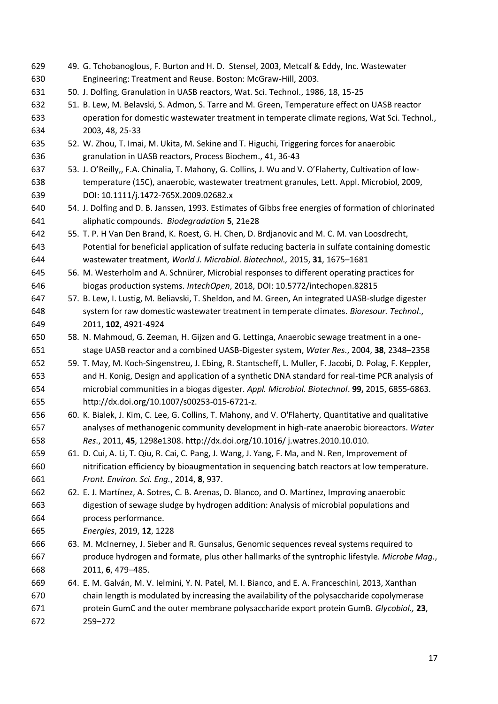49. G. Tchobanoglous, F. Burton and H. D. Stensel, 2003, Metcalf & Eddy, Inc. Wastewater Engineering: Treatment and Reuse. Boston: McGraw-Hill, 2003. 50. J. Dolfing, Granulation in UASB reactors, Wat. Sci. Technol., 1986, 18, 15-25 51. B. Lew, M. Belavski, S. Admon, S. Tarre and M. Green, Temperature effect on UASB reactor operation for domestic wastewater treatment in temperate climate regions, Wat Sci. Technol., 2003, 48, 25-33 52. W. Zhou, T. Imai, M. Ukita, M. Sekine and T. Higuchi, Triggering forces for anaerobic granulation in UASB reactors, Process Biochem., 41, 36-43 53. J. O'Reilly,, F.A. Chinalia, T. Mahony, G. Collins, J. Wu and V. O'Flaherty, Cultivation of low- temperature (15C), anaerobic, wastewater treatment granules, Lett. Appl. Microbiol, 2009, DOI: 10.1111/j.1472-765X.2009.02682.x 54. J. Dolfing and D. B. Janssen, 1993. Estimates of Gibbs free energies of formation of chlorinated aliphatic compounds. *Biodegradation* **5**, 21e28 55. T. P. H Van Den Brand, K. Roest, G. H. Chen, D. Brdjanovic and M. C. M. van Loosdrecht, Potential for beneficial application of sulfate reducing bacteria in sulfate containing domestic wastewater treatment, *World J. Microbiol. Biotechnol.,* 2015, **31**, 1675–1681 56. M. Westerholm and A. Schnürer, Microbial responses to different operating practices for biogas production systems. *IntechOpen*, 2018, DOI: 10.5772/intechopen.82815 57. B. Lew, I. Lustig, M. Beliavski, T. Sheldon, and M. Green, An integrated UASB-sludge digester system for raw domestic wastewater treatment in temperate climates. *Bioresour. Technol*., 2011, **102**, 4921-4924 58. N. Mahmoud, G. Zeeman, H. Gijzen and G. Lettinga, Anaerobic sewage treatment in a one- stage UASB reactor and a combined UASB-Digester system, *Water Res*., 2004, **38**, 2348–2358 59. T. May, M. Koch-Singenstreu, J. Ebing, R. Stantscheff, L. Muller, F. Jacobi, D. Polag, F. Keppler, and H. Konig, Design and application of a synthetic DNA standard for real-time PCR analysis of microbial communities in a biogas digester. *Appl. Microbiol. Biotechnol*. **99,** 2015, 6855-6863. http://dx.doi.org/10.1007/s00253-015-6721-z. 60. K. Bialek, J. Kim, C. Lee, G. Collins, T. Mahony, and V. O'Flaherty, Quantitative and qualitative analyses of methanogenic community development in high-rate anaerobic bioreactors. *Water Res*., 2011, **45**, 1298e1308. http://dx.doi.org/10.1016/ j.watres.2010.10.010. 61. D. Cui, A. Li, T. Qiu, R. Cai, C. Pang, J. Wang, J. Yang, F. Ma, and N. Ren, Improvement of nitrification efficiency by bioaugmentation in sequencing batch reactors at low temperature. *Front. Environ. Sci. Eng.*, 2014, **8**, 937. 62. E. J. Martínez, A. Sotres, C. B. Arenas, D. Blanco, and O. Martínez, Improving anaerobic digestion of sewage sludge by hydrogen addition: Analysis of microbial populations and process performance. *Energies*, 2019, **12**, 1228 63. M. McInerney, J. Sieber and R. Gunsalus, Genomic sequences reveal systems required to produce hydrogen and formate, plus other hallmarks of the syntrophic lifestyle. *Microbe Mag*., 2011, **6**, 479–485. 64. E. M. Galván, M. V. Ielmini, Y. N. Patel, M. I. Bianco, and E. A. Franceschini, 2013, Xanthan chain length is modulated by increasing the availability of the polysaccharide copolymerase protein GumC and the outer membrane polysaccharide export protein GumB. *Glycobiol.,* **23**, 259–272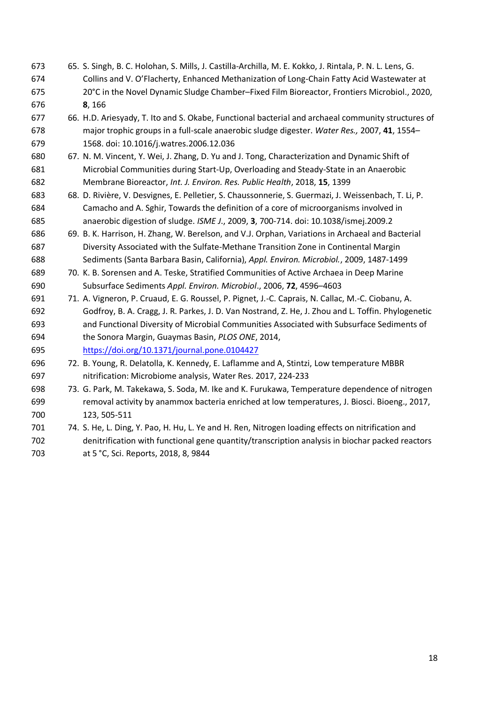- 65. S. Singh, B. C. Holohan, S. Mills, J. Castilla-Archilla, M. E. Kokko, J. Rintala, P. N. L. Lens, G. Collins and V. O'Flacherty, Enhanced Methanization of Long-Chain Fatty Acid Wastewater at 20°C in the Novel Dynamic Sludge Chamber–Fixed Film Bioreactor, Frontiers Microbiol., 2020, **8**, 166
- 66. H.D. Ariesyady, T. Ito and S. Okabe, Functional bacterial and archaeal community structures of major trophic groups in a full-scale anaerobic sludge digester. *Water Res.,* 2007, **41**, 1554– 1568. doi: 10.1016/j.watres.2006.12.036
- 67. N. M. Vincent, Y. Wei, J. Zhang, D. Yu and J. Tong, Characterization and Dynamic Shift of Microbial Communities during Start-Up, Overloading and Steady-State in an Anaerobic Membrane Bioreactor, *Int. J. Environ. Res. Public Health*, 2018, **15**, 1399
- 68. D. Rivière, V. Desvignes, E. Pelletier, S. Chaussonnerie, S. Guermazi, J. Weissenbach, T. Li, P. Camacho and A. Sghir, Towards the definition of a core of microorganisms involved in anaerobic digestion of sludge. *ISME J*., 2009, **3**, 700-714. doi: 10.1038/ismej.2009.2
- 69. B. K. Harrison, H. Zhang, W. Berelson, and V.J. Orphan, Variations in Archaeal and Bacterial Diversity Associated with the Sulfate-Methane Transition Zone in Continental Margin Sediments (Santa Barbara Basin, California), *Appl. Environ. Microbiol.*, 2009, 1487-1499
- 70. K. B. Sorensen and A. Teske, Stratified Communities of Active Archaea in Deep Marine Subsurface Sediments *Appl. Environ. Microbiol*., 2006, **72**, 4596–4603
- 71. A. Vigneron, P. Cruaud, E. G. Roussel, P. Pignet, J.-C. Caprais, N. Callac, M.-C. Ciobanu, A. Godfroy, B. A. Cragg, J. R. Parkes, J. D. Van Nostrand, Z. He, J. Zhou and L. Toffin. Phylogenetic and Functional Diversity of Microbial Communities Associated with Subsurface Sediments of the Sonora Margin, Guaymas Basin, *PLOS ONE*, 2014,
- <https://doi.org/10.1371/journal.pone.0104427>
- 72. B. Young, R. Delatolla, K. Kennedy, E. Laflamme and A, Stintzi, Low temperature MBBR nitrification: Microbiome analysis, Water Res. 2017, 224-233
- 73. G. Park, M. Takekawa, S. Soda, M. Ike and K. Furukawa, Temperature dependence of nitrogen removal activity by anammox bacteria enriched at low temperatures, J. Biosci. Bioeng., 2017, 123, 505-511
- 74. S. He, L. Ding, Y. Pao, H. Hu, L. Ye and H. Ren, Nitrogen loading effects on nitrification and denitrification with functional gene quantity/transcription analysis in biochar packed reactors at 5 °C, Sci. Reports, 2018, 8, 9844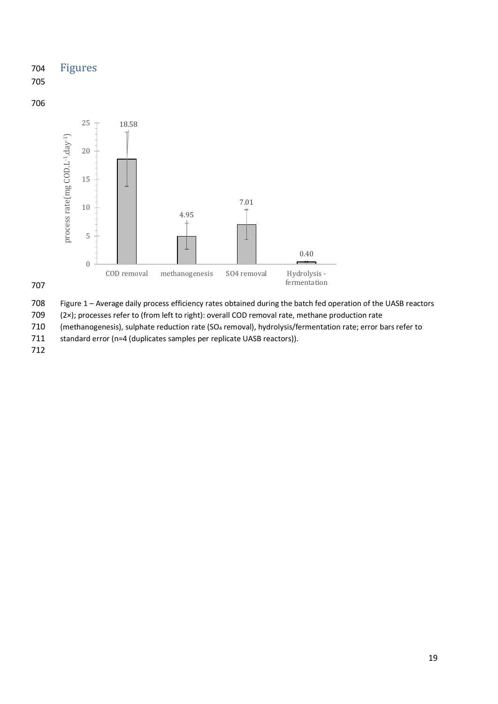# 704 Figures

705

### 706



707

708 Figure 1 – Average daily process efficiency rates obtained during the batch fed operation of the UASB reactors

709 (2×); processes refer to (from left to right): overall COD removal rate, methane production rate

710 (methanogenesis), sulphate reduction rate (SO<sub>4</sub> removal), hydrolysis/fermentation rate; error bars refer to

711 standard error (n=4 (duplicates samples per replicate UASB reactors)).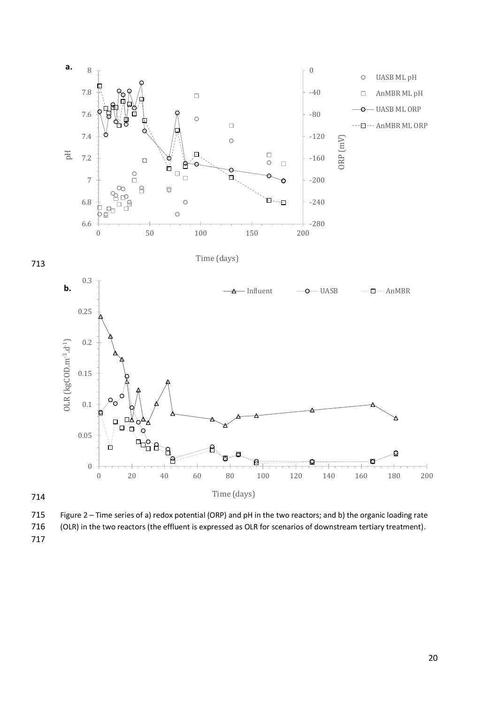

715 Figure 2 – Time series of a) redox potential (ORP) and pH in the two reactors; and b) the organic loading rate 716 (OLR) in the two reactors (the effluent is expressed as OLR for scenarios of downstream tertiary treatment).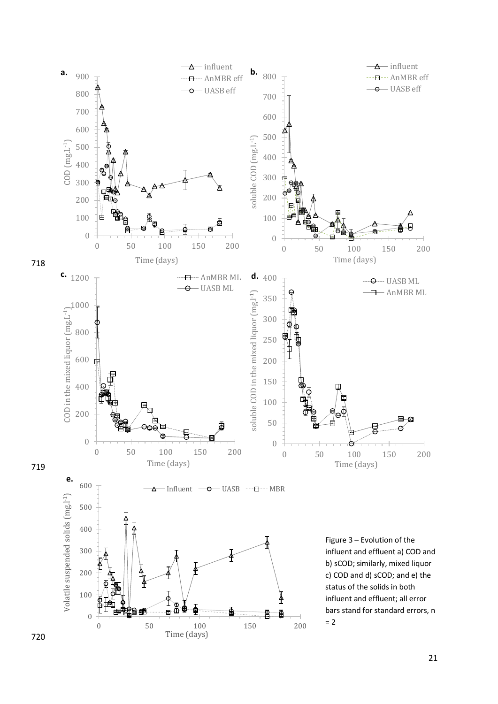

![](_page_20_Figure_1.jpeg)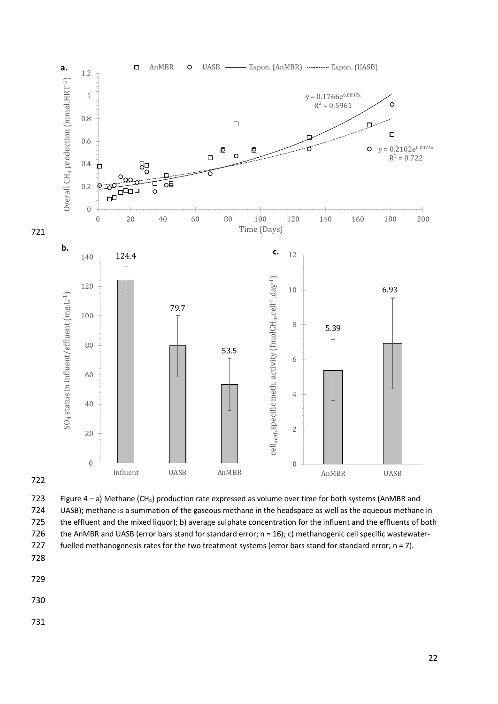![](_page_21_Figure_0.jpeg)

![](_page_21_Figure_1.jpeg)

![](_page_21_Figure_2.jpeg)

723 Figure 4 – a) Methane (CH4) production rate expressed as volume over time for both systems (AnMBR and 724 UASB); methane is a summation of the gaseous methane in the headspace as well as the aqueous methane in 725 the effluent and the mixed liquor); b) average sulphate concentration for the influent and the effluents of both 726 the AnMBR and UASB (error bars stand for standard error; n = 16); c) methanogenic cell specific wastewater-727 fuelled methanogenesis rates for the two treatment systems (error bars stand for standard error; n = 7). 728

- 729
- 730
- 731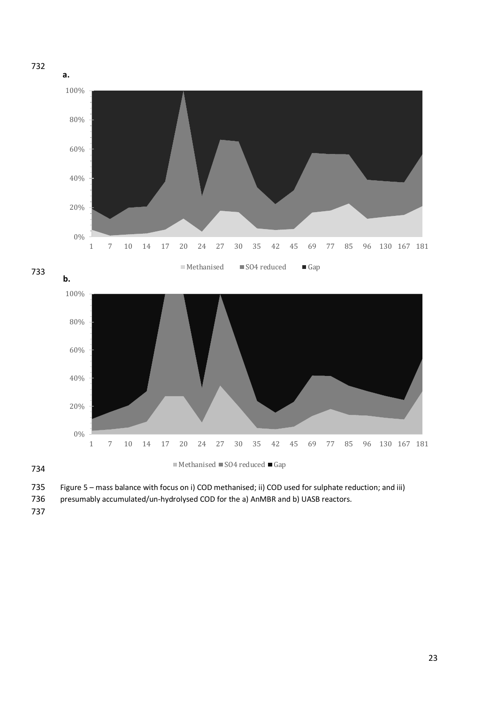![](_page_22_Figure_0.jpeg)

735 Figure 5 – mass balance with focus on i) COD methanised; ii) COD used for sulphate reduction; and iii)

736 presumably accumulated/un-hydrolysed COD for the a) AnMBR and b) UASB reactors.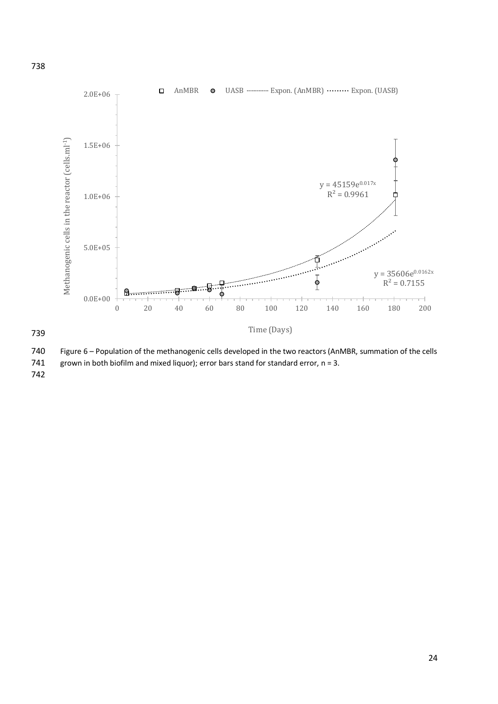![](_page_23_Figure_0.jpeg)

740 Figure 6 – Population of the methanogenic cells developed in the two reactors (AnMBR, summation of the cells

741 grown in both biofilm and mixed liquor); error bars stand for standard error,  $n = 3$ .

742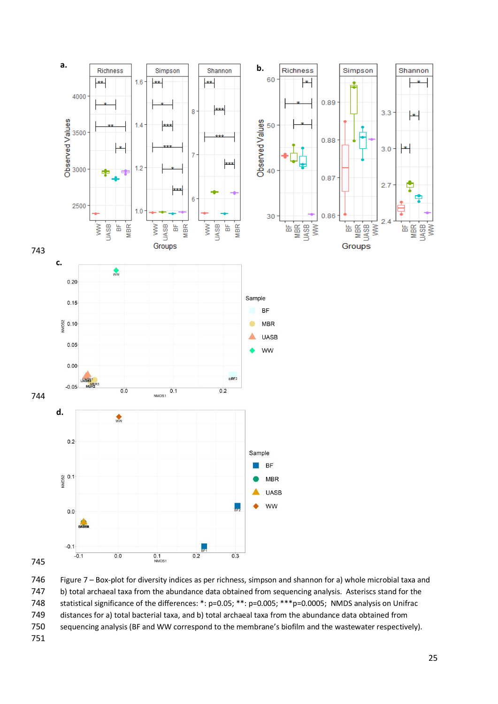![](_page_24_Figure_0.jpeg)

 Figure 7 – Box-plot for diversity indices as per richness, simpson and shannon for a) whole microbial taxa and b) total archaeal taxa from the abundance data obtained from sequencing analysis. Asteriscs stand for the statistical significance of the differences: \*: p=0.05; \*\*: p=0.005; \*\*\*p=0.0005; NMDS analysis on Unifrac distances for a) total bacterial taxa, and b) total archaeal taxa from the abundance data obtained from sequencing analysis (BF and WW correspond to the membrane's biofilm and the wastewater respectively).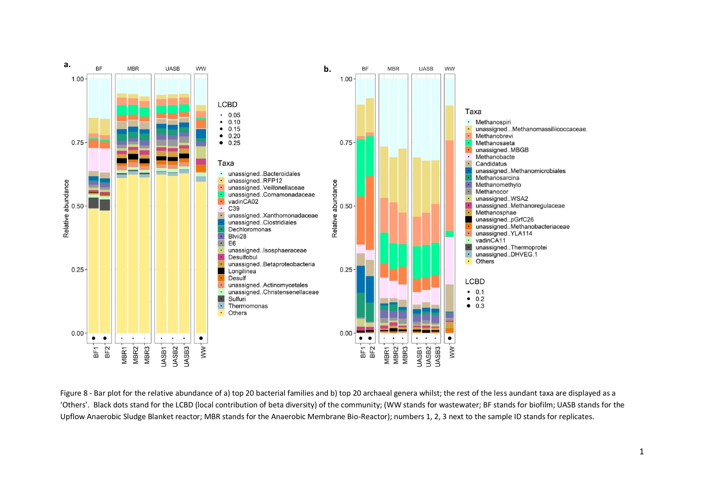![](_page_25_Figure_0.jpeg)

Figure 8 - Bar plot for the relative abundance of a) top 20 bacterial families and b) top 20 archaeal genera whilst; the rest of the less aundant taxa are displayed as a 'Others'. Black dots stand for the LCBD (local contribution of beta diversity) of the community; (WW stands for wastewater; BF stands for biofilm; UASB stands for the Upflow Anaerobic Sludge Blanket reactor; MBR stands for the Anaerobic Membrane Bio-Reactor); numbers 1, 2, 3 next to the sample ID stands for replicates.